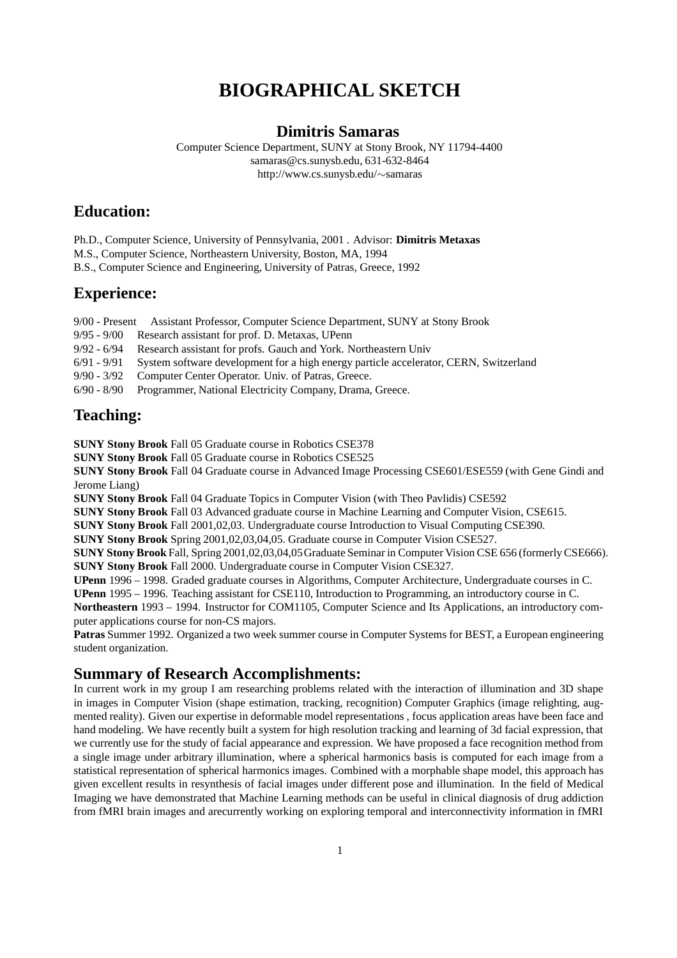# **BIOGRAPHICAL SKETCH**

#### **Dimitris Samaras**

Computer Science Department, SUNY at Stony Brook, NY 11794-4400 samaras@cs.sunysb.edu, 631-632-8464 http://www.cs.sunysb.edu/∼samaras

## **Education:**

Ph.D., Computer Science, University of Pennsylvania, 2001 . Advisor: **Dimitris Metaxas**

M.S., Computer Science, Northeastern University, Boston, MA, 1994

B.S., Computer Science and Engineering, University of Patras, Greece, 1992

### **Experience:**

9/00 - Present Assistant Professor, Computer Science Department, SUNY at Stony Brook

9/95 - 9/00 Research assistant for prof. D. Metaxas, UPenn

9/92 - 6/94 Research assistant for profs. Gauch and York. Northeastern Univ<br>6/91 - 9/91 Svstem software development for a high energy particle accelerat System software development for a high energy particle accelerator, CERN, Switzerland

9/90 - 3/92 Computer Center Operator. Univ. of Patras, Greece.

6/90 - 8/90 Programmer, National Electricity Company, Drama, Greece.

### **Teaching:**

**SUNY Stony Brook** Fall 05 Graduate course in Robotics CSE378

**SUNY Stony Brook** Fall 05 Graduate course in Robotics CSE525

**SUNY Stony Brook** Fall 04 Graduate course in Advanced Image Processing CSE601/ESE559 (with Gene Gindi and Jerome Liang)

**SUNY Stony Brook** Fall 04 Graduate Topics in Computer Vision (with Theo Pavlidis) CSE592

**SUNY Stony Brook** Fall 03 Advanced graduate course in Machine Learning and Computer Vision, CSE615.

**SUNY Stony Brook** Fall 2001,02,03. Undergraduate course Introduction to Visual Computing CSE390.

**SUNY Stony Brook** Spring 2001,02,03,04,05. Graduate course in Computer Vision CSE527.

**SUNY Stony Brook** Fall, Spring 2001,02,03,04,05Graduate Seminar in Computer Vision CSE 656 (formerly CSE666). **SUNY Stony Brook** Fall 2000. Undergraduate course in Computer Vision CSE327.

**UPenn** 1996 – 1998. Graded graduate courses in Algorithms, Computer Architecture, Undergraduate courses in C.

**UPenn** 1995 – 1996. Teaching assistant for CSE110, Introduction to Programming, an introductory course in C.

**Northeastern** 1993 – 1994. Instructor for COM1105, Computer Science and Its Applications, an introductory computer applications course for non-CS majors.

**Patras** Summer 1992. Organized a two week summer course in Computer Systems for BEST, a European engineering student organization.

### **Summary of Research Accomplishments:**

In current work in my group I am researching problems related with the interaction of illumination and 3D shape in images in Computer Vision (shape estimation, tracking, recognition) Computer Graphics (image relighting, augmented reality). Given our expertise in deformable model representations , focus application areas have been face and hand modeling. We have recently built a system for high resolution tracking and learning of 3d facial expression, that we currently use for the study of facial appearance and expression. We have proposed a face recognition method from a single image under arbitrary illumination, where a spherical harmonics basis is computed for each image from a statistical representation of spherical harmonics images. Combined with a morphable shape model, this approach has given excellent results in resynthesis of facial images under different pose and illumination. In the field of Medical Imaging we have demonstrated that Machine Learning methods can be useful in clinical diagnosis of drug addiction from fMRI brain images and arecurrently working on exploring temporal and interconnectivity information in fMRI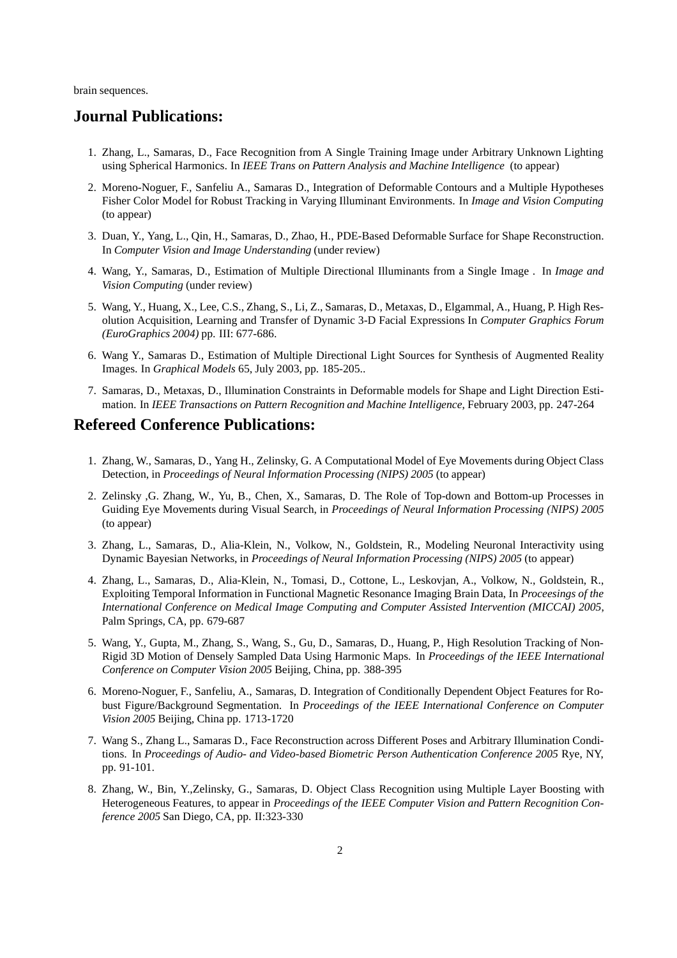brain sequences.

#### **Journal Publications:**

- 1. Zhang, L., Samaras, D., Face Recognition from A Single Training Image under Arbitrary Unknown Lighting using Spherical Harmonics. In *IEEE Trans on Pattern Analysis and Machine Intelligence* (to appear)
- 2. Moreno-Noguer, F., Sanfeliu A., Samaras D., Integration of Deformable Contours and a Multiple Hypotheses Fisher Color Model for Robust Tracking in Varying Illuminant Environments. In *Image and Vision Computing* (to appear)
- 3. Duan, Y., Yang, L., Qin, H., Samaras, D., Zhao, H., PDE-Based Deformable Surface for Shape Reconstruction. In *Computer Vision and Image Understanding* (under review)
- 4. Wang, Y., Samaras, D., Estimation of Multiple Directional Illuminants from a Single Image . In *Image and Vision Computing* (under review)
- 5. Wang, Y., Huang, X., Lee, C.S., Zhang, S., Li, Z., Samaras, D., Metaxas, D., Elgammal, A., Huang, P. High Resolution Acquisition, Learning and Transfer of Dynamic 3-D Facial Expressions In *Computer Graphics Forum (EuroGraphics 2004)* pp. III: 677-686.
- 6. Wang Y., Samaras D., Estimation of Multiple Directional Light Sources for Synthesis of Augmented Reality Images. In *Graphical Models* 65, July 2003, pp. 185-205..
- 7. Samaras, D., Metaxas, D., Illumination Constraints in Deformable models for Shape and Light Direction Estimation. In *IEEE Transactions on Pattern Recognition and Machine Intelligence*, February 2003, pp. 247-264

### **Refereed Conference Publications:**

- 1. Zhang, W., Samaras, D., Yang H., Zelinsky, G. A Computational Model of Eye Movements during Object Class Detection, in *Proceedings of Neural Information Processing (NIPS) 2005* (to appear)
- 2. Zelinsky ,G. Zhang, W., Yu, B., Chen, X., Samaras, D. The Role of Top-down and Bottom-up Processes in Guiding Eye Movements during Visual Search, in *Proceedings of Neural Information Processing (NIPS) 2005* (to appear)
- 3. Zhang, L., Samaras, D., Alia-Klein, N., Volkow, N., Goldstein, R., Modeling Neuronal Interactivity using Dynamic Bayesian Networks, in *Proceedings of Neural Information Processing (NIPS) 2005* (to appear)
- 4. Zhang, L., Samaras, D., Alia-Klein, N., Tomasi, D., Cottone, L., Leskovjan, A., Volkow, N., Goldstein, R., Exploiting Temporal Information in Functional Magnetic Resonance Imaging Brain Data, In *Proceesings of the International Conference on Medical Image Computing and Computer Assisted Intervention (MICCAI) 2005*, Palm Springs, CA, pp. 679-687
- 5. Wang, Y., Gupta, M., Zhang, S., Wang, S., Gu, D., Samaras, D., Huang, P., High Resolution Tracking of Non-Rigid 3D Motion of Densely Sampled Data Using Harmonic Maps. In *Proceedings of the IEEE International Conference on Computer Vision 2005* Beijing, China, pp. 388-395
- 6. Moreno-Noguer, F., Sanfeliu, A., Samaras, D. Integration of Conditionally Dependent Object Features for Robust Figure/Background Segmentation. In *Proceedings of the IEEE International Conference on Computer Vision 2005* Beijing, China pp. 1713-1720
- 7. Wang S., Zhang L., Samaras D., Face Reconstruction across Different Poses and Arbitrary Illumination Conditions. In *Proceedings of Audio- and Video-based Biometric Person Authentication Conference 2005* Rye, NY, pp. 91-101.
- 8. Zhang, W., Bin, Y.,Zelinsky, G., Samaras, D. Object Class Recognition using Multiple Layer Boosting with Heterogeneous Features, to appear in *Proceedings of the IEEE Computer Vision and Pattern Recognition Conference 2005* San Diego, CA, pp. II:323-330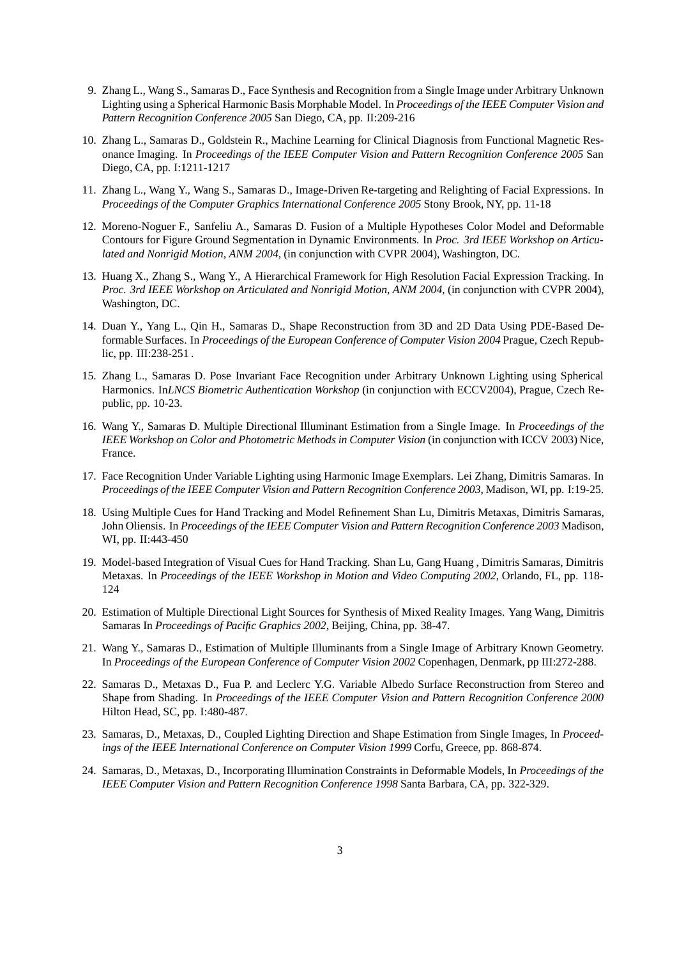- 9. Zhang L., Wang S., Samaras D., Face Synthesis and Recognition from a Single Image under Arbitrary Unknown Lighting using a Spherical Harmonic Basis Morphable Model. In *Proceedings of the IEEE Computer Vision and Pattern Recognition Conference 2005* San Diego, CA, pp. II:209-216
- 10. Zhang L., Samaras D., Goldstein R., Machine Learning for Clinical Diagnosis from Functional Magnetic Resonance Imaging. In *Proceedings of the IEEE Computer Vision and Pattern Recognition Conference 2005* San Diego, CA, pp. I:1211-1217
- 11. Zhang L., Wang Y., Wang S., Samaras D., Image-Driven Re-targeting and Relighting of Facial Expressions. In *Proceedings of the Computer Graphics International Conference 2005* Stony Brook, NY, pp. 11-18
- 12. Moreno-Noguer F., Sanfeliu A., Samaras D. Fusion of a Multiple Hypotheses Color Model and Deformable Contours for Figure Ground Segmentation in Dynamic Environments. In *Proc. 3rd IEEE Workshop on Articulated and Nonrigid Motion, ANM 2004*, (in conjunction with CVPR 2004), Washington, DC.
- 13. Huang X., Zhang S., Wang Y., A Hierarchical Framework for High Resolution Facial Expression Tracking. In *Proc. 3rd IEEE Workshop on Articulated and Nonrigid Motion, ANM 2004*, (in conjunction with CVPR 2004), Washington, DC.
- 14. Duan Y., Yang L., Qin H., Samaras D., Shape Reconstruction from 3D and 2D Data Using PDE-Based Deformable Surfaces. In *Proceedings of the European Conference of Computer Vision 2004* Prague, Czech Republic, pp. III:238-251 .
- 15. Zhang L., Samaras D. Pose Invariant Face Recognition under Arbitrary Unknown Lighting using Spherical Harmonics. In*LNCS Biometric Authentication Workshop* (in conjunction with ECCV2004), Prague, Czech Republic, pp. 10-23.
- 16. Wang Y., Samaras D. Multiple Directional Illuminant Estimation from a Single Image. In *Proceedings of the IEEE Workshop on Color and Photometric Methods in Computer Vision* (in conjunction with ICCV 2003) Nice, France.
- 17. Face Recognition Under Variable Lighting using Harmonic Image Exemplars. Lei Zhang, Dimitris Samaras. In *Proceedings of the IEEE Computer Vision and Pattern Recognition Conference 2003*, Madison, WI, pp. I:19-25.
- 18. Using Multiple Cues for Hand Tracking and Model Refinement Shan Lu, Dimitris Metaxas, Dimitris Samaras, John Oliensis. In *Proceedings of the IEEE Computer Vision and Pattern Recognition Conference 2003* Madison, WI, pp. II:443-450
- 19. Model-based Integration of Visual Cues for Hand Tracking. Shan Lu, Gang Huang , Dimitris Samaras, Dimitris Metaxas. In *Proceedings of the IEEE Workshop in Motion and Video Computing 2002*, Orlando, FL, pp. 118- 124
- 20. Estimation of Multiple Directional Light Sources for Synthesis of Mixed Reality Images. Yang Wang, Dimitris Samaras In *Proceedings of Pacific Graphics 2002*, Beijing, China, pp. 38-47.
- 21. Wang Y., Samaras D., Estimation of Multiple Illuminants from a Single Image of Arbitrary Known Geometry. In *Proceedings of the European Conference of Computer Vision 2002* Copenhagen, Denmark, pp III:272-288.
- 22. Samaras D., Metaxas D., Fua P. and Leclerc Y.G. Variable Albedo Surface Reconstruction from Stereo and Shape from Shading. In *Proceedings of the IEEE Computer Vision and Pattern Recognition Conference 2000* Hilton Head, SC, pp. I:480-487.
- 23. Samaras, D., Metaxas, D., Coupled Lighting Direction and Shape Estimation from Single Images, In *Proceedings of the IEEE International Conference on Computer Vision 1999* Corfu, Greece, pp. 868-874.
- 24. Samaras, D., Metaxas, D., Incorporating Illumination Constraints in Deformable Models, In *Proceedings of the IEEE Computer Vision and Pattern Recognition Conference 1998* Santa Barbara, CA, pp. 322-329.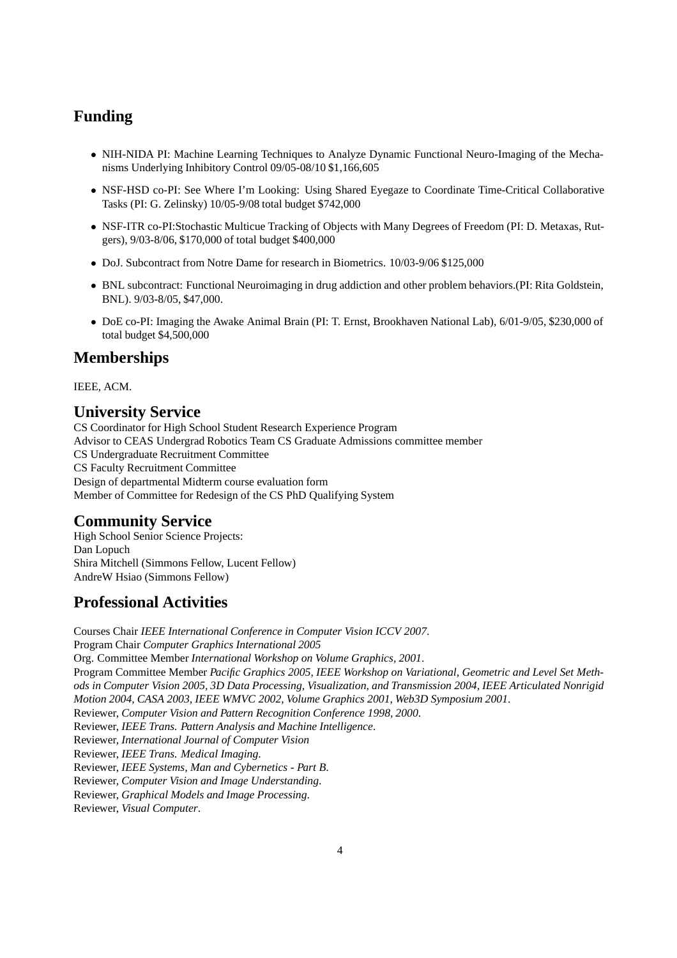# **Funding**

- NIH-NIDA PI: Machine Learning Techniques to Analyze Dynamic Functional Neuro-Imaging of the Mechanisms Underlying Inhibitory Control 09/05-08/10 \$1,166,605
- NSF-HSD co-PI: See Where I'm Looking: Using Shared Eyegaze to Coordinate Time-Critical Collaborative Tasks (PI: G. Zelinsky) 10/05-9/08 total budget \$742,000
- NSF-ITR co-PI:Stochastic Multicue Tracking of Objects with Many Degrees of Freedom (PI: D. Metaxas, Rutgers), 9/03-8/06, \$170,000 of total budget \$400,000
- DoJ. Subcontract from Notre Dame for research in Biometrics. 10/03-9/06 \$125,000
- BNL subcontract: Functional Neuroimaging in drug addiction and other problem behaviors.(PI: Rita Goldstein, BNL). 9/03-8/05, \$47,000.
- DoE co-PI: Imaging the Awake Animal Brain (PI: T. Ernst, Brookhaven National Lab), 6/01-9/05, \$230,000 of total budget \$4,500,000

## **Memberships**

IEEE, ACM.

# **University Service**

CS Coordinator for High School Student Research Experience Program Advisor to CEAS Undergrad Robotics Team CS Graduate Admissions committee member CS Undergraduate Recruitment Committee CS Faculty Recruitment Committee Design of departmental Midterm course evaluation form Member of Committee for Redesign of the CS PhD Qualifying System

# **Community Service**

High School Senior Science Projects: Dan Lopuch Shira Mitchell (Simmons Fellow, Lucent Fellow) AndreW Hsiao (Simmons Fellow)

# **Professional Activities**

Courses Chair *IEEE International Conference in Computer Vision ICCV 2007*. Program Chair *Computer Graphics International 2005* Org. Committee Member *International Workshop on Volume Graphics, 2001*. Program Committee Member *Pacific Graphics 2005, IEEE Workshop on Variational, Geometric and Level Set Methods in Computer Vision 2005, 3D Data Processing, Visualization, and Transmission 2004, IEEE Articulated Nonrigid Motion 2004, CASA 2003, IEEE WMVC 2002, Volume Graphics 2001, Web3D Symposium 2001*. Reviewer, *Computer Vision and Pattern Recognition Conference 1998, 2000*. Reviewer, *IEEE Trans. Pattern Analysis and Machine Intelligence*. Reviewer, *International Journal of Computer Vision* Reviewer, *IEEE Trans. Medical Imaging*. Reviewer, *IEEE Systems, Man and Cybernetics - Part B*. Reviewer, *Computer Vision and Image Understanding*. Reviewer, *Graphical Models and Image Processing*. Reviewer, *Visual Computer*.